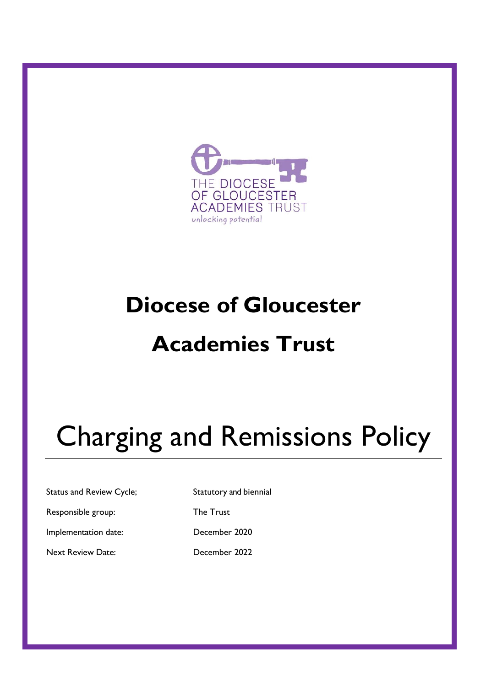

# **Diocese of Gloucester Academies Trust**

# Charging and Remissions Policy

Status and Review Cycle; Statutory and biennial

Responsible group: The Trust

Implementation date: December 2020

Next Review Date: December 2022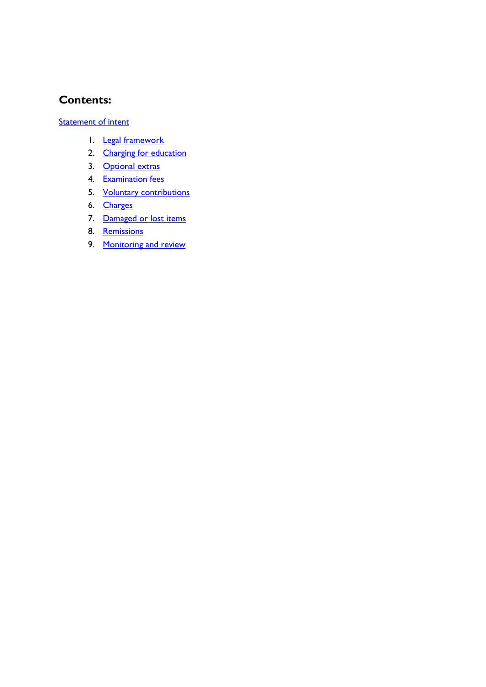#### **Contents:**

**[Statement of intent](#page-2-0)** 

- 1. [Legal framework](#page-3-0)
- 2. [Charging for education](#page-3-1)
- 3. [Optional extras](#page-3-2)
- 4. [Examination fees](#page-4-0)
- 5. Voluntary contributions
- 6. [Charges](#page-4-1)
- 7. [Damaged or lost items](#page-5-0)
- 8. [Remissions](#page-5-1)
- 9. [Monitoring and review](#page-5-2)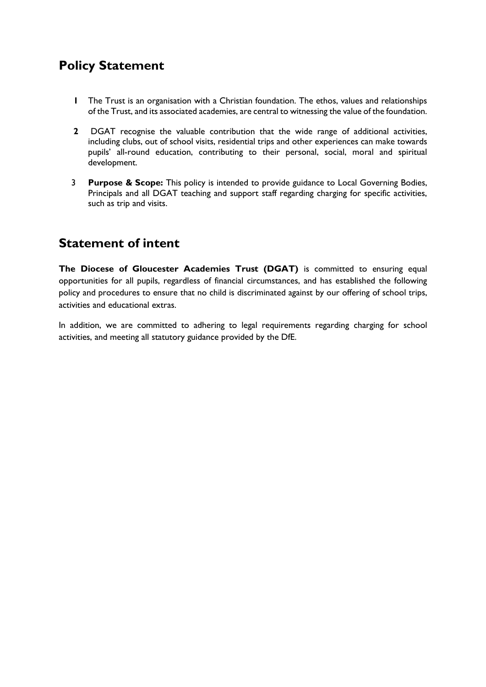## <span id="page-2-0"></span>**Policy Statement**

- **1** The Trust is an organisation with a Christian foundation. The ethos, values and relationships of the Trust, and its associated academies, are central to witnessing the value of the foundation.
- **2** DGAT recognise the valuable contribution that the wide range of additional activities, including clubs, out of school visits, residential trips and other experiences can make towards pupils' all-round education, contributing to their personal, social, moral and spiritual development.
- 3 **Purpose & Scope:** This policy is intended to provide guidance to Local Governing Bodies, Principals and all DGAT teaching and support staff regarding charging for specific activities, such as trip and visits.

### **Statement of intent**

**The Diocese of Gloucester Academies Trust (DGAT)** is committed to ensuring equal opportunities for all pupils, regardless of financial circumstances, and has established the following policy and procedures to ensure that no child is discriminated against by our offering of school trips, activities and educational extras.

In addition, we are committed to adhering to legal requirements regarding charging for school activities, and meeting all statutory guidance provided by the DfE.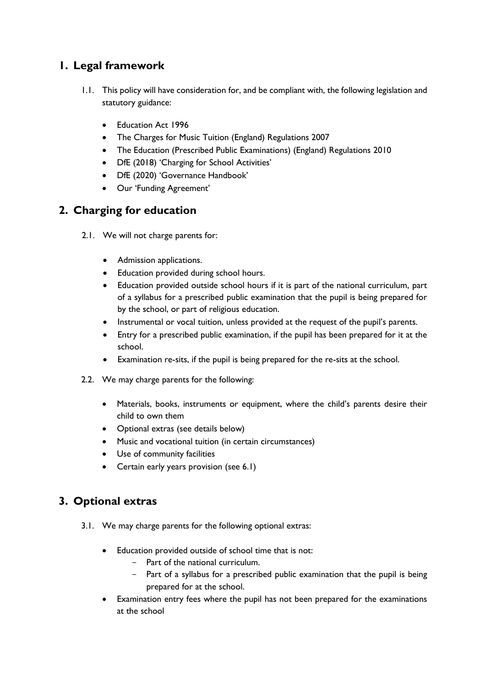#### <span id="page-3-0"></span>**1. Legal framework**

- 1.1. This policy will have consideration for, and be compliant with, the following legislation and statutory guidance:
	- Education Act 1996
	- The Charges for Music Tuition (England) Regulations 2007
	- The Education (Prescribed Public Examinations) (England) Regulations 2010
	- DfE (2018) 'Charging for School Activities'
	- DfE (2020) 'Governance Handbook'
	- Our 'Funding Agreement'

#### <span id="page-3-1"></span>**2. Charging for education**

- 2.1. We will not charge parents for:
	- Admission applications.
	- Education provided during school hours.
	- Education provided outside school hours if it is part of the national curriculum, part of a syllabus for a prescribed public examination that the pupil is being prepared for by the school, or part of religious education.
	- Instrumental or vocal tuition, unless provided at the request of the pupil's parents.
	- Entry for a prescribed public examination, if the pupil has been prepared for it at the school.
	- Examination re-sits, if the pupil is being prepared for the re-sits at the school.
- 2.2. We may charge parents for the following:
	- Materials, books, instruments or equipment, where the child's parents desire their child to own them
	- Optional extras (see details below)
	- Music and vocational tuition (in certain circumstances)
	- Use of community facilities
	- Certain early years provision (see 6.1)

#### <span id="page-3-2"></span>**3. Optional extras**

- 3.1. We may charge parents for the following optional extras:
	- Education provided outside of school time that is not:
		- Part of the national curriculum.
		- Part of a syllabus for a prescribed public examination that the pupil is being prepared for at the school.
	- Examination entry fees where the pupil has not been prepared for the examinations at the school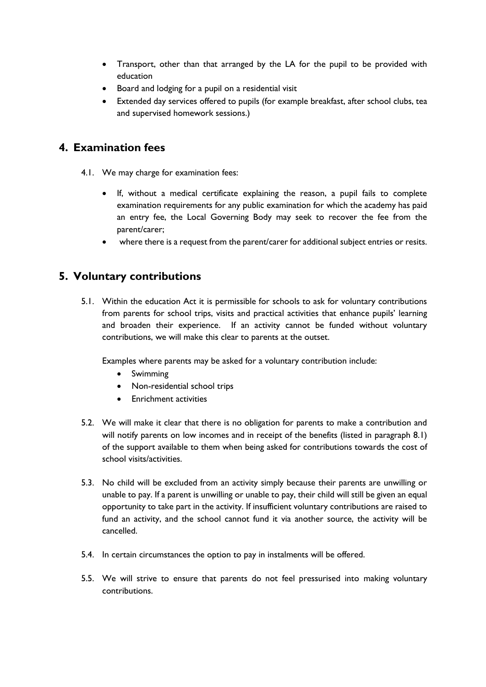- Transport, other than that arranged by the LA for the pupil to be provided with education
- Board and lodging for a pupil on a residential visit
- Extended day services offered to pupils (for example breakfast, after school clubs, tea and supervised homework sessions.)

#### <span id="page-4-0"></span>**4. Examination fees**

- 4.1. We may charge for examination fees:
	- If, without a medical certificate explaining the reason, a pupil fails to complete examination requirements for any public examination for which the academy has paid an entry fee, the Local Governing Body may seek to recover the fee from the parent/carer;
	- where there is a request from the parent/carer for additional subject entries or resits.

#### <span id="page-4-1"></span>**5. Voluntary contributions**

5.1. Within the education Act it is permissible for schools to ask for voluntary contributions from parents for school trips, visits and practical activities that enhance pupils' learning and broaden their experience. If an activity cannot be funded without voluntary contributions, we will make this clear to parents at the outset.

Examples where parents may be asked for a voluntary contribution include:

- Swimming
- Non-residential school trips
- Enrichment activities
- 5.2. We will make it clear that there is no obligation for parents to make a contribution and will notify parents on low incomes and in receipt of the benefits (listed in paragraph 8.1) of the support available to them when being asked for contributions towards the cost of school visits/activities.
- 5.3. No child will be excluded from an activity simply because their parents are unwilling or unable to pay. If a parent is unwilling or unable to pay, their child will still be given an equal opportunity to take part in the activity. If insufficient voluntary contributions are raised to fund an activity, and the school cannot fund it via another source, the activity will be cancelled.
- 5.4. In certain circumstances the option to pay in instalments will be offered.
- 5.5. We will strive to ensure that parents do not feel pressurised into making voluntary contributions.